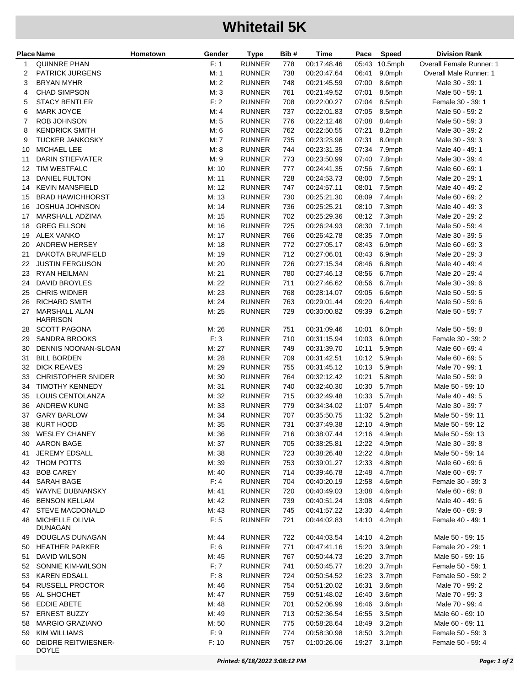## **Whitetail 5K**

|    | <b>Place Name</b>                          | Hometown | Gender | <b>Type</b>   | Bib # | <b>Time</b> | Pace  | <b>Speed</b> | <b>Division Rank</b>     |
|----|--------------------------------------------|----------|--------|---------------|-------|-------------|-------|--------------|--------------------------|
| 1  | QUINNRE PHAN                               |          | F: 1   | <b>RUNNER</b> | 778   | 00:17:48.46 | 05:43 | $10.5$ mph   | Overall Female Runner: 1 |
| 2  | <b>PATRICK JURGENS</b>                     |          | M: 1   | <b>RUNNER</b> | 738   | 00:20:47.64 | 06:41 | 9.0mph       | Overall Male Runner: 1   |
| 3  | <b>BRYAN MYHR</b>                          |          | M: 2   | <b>RUNNER</b> | 748   | 00:21:45.59 | 07:00 | 8.6mph       | Male 30 - 39: 1          |
| 4  | <b>CHAD SIMPSON</b>                        |          | M: 3   | <b>RUNNER</b> | 761   | 00:21:49.52 | 07:01 | 8.5mph       | Male 50 - 59: 1          |
| 5  | <b>STACY BENTLER</b>                       |          | F: 2   | <b>RUNNER</b> | 708   | 00:22:00.27 | 07:04 | 8.5mph       | Female 30 - 39: 1        |
| 6  | <b>MARK JOYCE</b>                          |          | M: 4   | <b>RUNNER</b> | 737   | 00:22:01.83 | 07:05 | 8.5mph       | Male 50 - 59: 2          |
| 7  | ROB JOHNSON                                |          | M: 5   | <b>RUNNER</b> | 776   | 00:22:12.46 | 07:08 | 8.4mph       | Male 50 - 59: 3          |
| 8  | <b>KENDRICK SMITH</b>                      |          | M: 6   | <b>RUNNER</b> | 762   | 00:22:50.55 | 07:21 | 8.2mph       | Male 30 - 39: 2          |
| 9  | <b>TUCKER JANKOSKY</b>                     |          | M: 7   | <b>RUNNER</b> | 735   | 00:23:23.98 | 07:31 | 8.0mph       | Male 30 - 39: 3          |
| 10 | <b>MICHAEL LEE</b>                         |          | M: 8   | <b>RUNNER</b> | 744   | 00:23:31.35 | 07:34 | 7.9mph       | Male 40 - 49: 1          |
| 11 | <b>DARIN STIEFVATER</b>                    |          | M:9    | <b>RUNNER</b> | 773   | 00:23:50.99 | 07:40 | 7.8mph       | Male 30 - 39: 4          |
| 12 | TIM WESTFALC                               |          | M:10   | <b>RUNNER</b> | 777   | 00:24:41.35 | 07:56 | 7.6mph       | Male 60 - 69: 1          |
| 13 | DANIEL FULTON                              |          | M: 11  | <b>RUNNER</b> | 728   | 00:24:53.73 | 08:00 | 7.5mph       | Male 20 - 29: 1          |
| 14 | <b>KEVIN MANSFIELD</b>                     |          | M: 12  | <b>RUNNER</b> | 747   | 00:24:57.11 | 08:01 | 7.5mph       | Male 40 - 49: 2          |
| 15 | <b>BRAD HAWICHHORST</b>                    |          | M: 13  | <b>RUNNER</b> | 730   | 00:25:21.30 | 08:09 | 7.4mph       | Male 60 - 69: 2          |
| 16 | <b>JOSHUA JOHNSON</b>                      |          | M: 14  | <b>RUNNER</b> | 736   | 00:25:25.21 | 08:10 | 7.3mph       | Male 40 - 49: 3          |
| 17 | MARSHALL ADZIMA                            |          | M: 15  | <b>RUNNER</b> | 702   | 00:25:29.36 | 08:12 | 7.3mph       | Male 20 - 29: 2          |
| 18 | <b>GREG ELLSON</b>                         |          | M: 16  | <b>RUNNER</b> | 725   | 00:26:24.93 | 08:30 | 7.1mph       | Male 50 - 59: 4          |
| 19 | <b>ALEX VANKO</b>                          |          | M: 17  | <b>RUNNER</b> | 766   | 00:26:42.78 | 08:35 | 7.0mph       | Male 30 - 39: 5          |
| 20 | <b>ANDREW HERSEY</b>                       |          | M: 18  | <b>RUNNER</b> | 772   | 00:27:05.17 | 08:43 | 6.9mph       | Male 60 - 69: 3          |
| 21 | DAKOTA BRUMFIELD                           |          | M: 19  | <b>RUNNER</b> | 712   | 00:27:06.01 | 08:43 | 6.9mph       | Male 20 - 29: 3          |
| 22 | <b>JUSTIN FERGUSON</b>                     |          | M: 20  | <b>RUNNER</b> | 726   | 00:27:15.34 | 08:46 | 6.8mph       | Male 40 - 49: 4          |
| 23 | <b>RYAN HEILMAN</b>                        |          | M: 21  | <b>RUNNER</b> | 780   | 00:27:46.13 | 08:56 | 6.7mph       | Male 20 - 29: 4          |
| 24 | <b>DAVID BROYLES</b>                       |          | M: 22  | <b>RUNNER</b> | 711   | 00:27:46.62 | 08:56 | 6.7mph       | Male 30 - 39: 6          |
| 25 | <b>CHRIS WIDNER</b>                        |          | M: 23  | <b>RUNNER</b> | 768   | 00:28:14.07 | 09:05 | 6.6mph       | Male 50 - 59: 5          |
| 26 | RICHARD SMITH                              |          | M: 24  | <b>RUNNER</b> | 763   | 00:29:01.44 | 09:20 | 6.4mph       | Male 50 - 59: 6          |
| 27 | <b>MARSHALL ALAN</b><br><b>HARRISON</b>    |          | M: 25  | <b>RUNNER</b> | 729   | 00:30:00.82 | 09:39 | 6.2mph       | Male 50 - 59: 7          |
| 28 | <b>SCOTT PAGONA</b>                        |          | M: 26  | <b>RUNNER</b> | 751   | 00:31:09.46 | 10:01 | 6.0mph       | Male 50 - 59: 8          |
| 29 | <b>SANDRA BROOKS</b>                       |          | F: 3   | <b>RUNNER</b> | 710   | 00:31:15.94 | 10:03 | 6.0mph       | Female 30 - 39: 2        |
| 30 | DENNIS NOONAN-SLOAN                        |          | M: 27  | <b>RUNNER</b> | 749   | 00:31:39.70 | 10:11 | 5.9mph       | Male 60 - 69: 4          |
| 31 | <b>BILL BORDEN</b>                         |          | M: 28  | <b>RUNNER</b> | 709   | 00:31:42.51 | 10:12 | 5.9mph       | Male 60 - 69: 5          |
| 32 | <b>DICK REAVES</b>                         |          | M: 29  | <b>RUNNER</b> | 755   | 00:31:45.12 | 10:13 | 5.9mph       | Male 70 - 99: 1          |
| 33 | <b>CHRISTOPHER SNIDER</b>                  |          | M: 30  | <b>RUNNER</b> | 764   | 00:32:12.42 | 10:21 | 5.8mph       | Male 50 - 59: 9          |
| 34 | <b>TIMOTHY KENNEDY</b>                     |          | M: 31  | <b>RUNNER</b> | 740   | 00:32:40.30 | 10:30 | 5.7mph       | Male 50 - 59: 10         |
| 35 | LOUIS CENTOLANZA                           |          | M: 32  | <b>RUNNER</b> | 715   | 00:32:49.48 | 10:33 | 5.7mph       | Male 40 - 49: 5          |
| 36 | <b>ANDREW KUNG</b>                         |          | M: 33  | <b>RUNNER</b> | 779   | 00:34:34.02 | 11:07 | 5.4mph       | Male 30 - 39: 7          |
| 37 | <b>GARY BARLOW</b>                         |          | M: 34  | <b>RUNNER</b> | 707   | 00:35:50.75 | 11:32 | 5.2mph       | Male 50 - 59: 11         |
| 38 | <b>KURT HOOD</b>                           |          | M: 35  | <b>RUNNER</b> | 731   | 00:37:49.38 | 12:10 | 4.9mph       | Male 50 - 59: 12         |
| 39 | <b>WESLEY CHANEY</b>                       |          | M: 36  | <b>RUNNER</b> | 716   | 00:38:07.44 |       | 12:16 4.9mph | Male 50 - 59: 13         |
| 40 | <b>AARON BAGE</b>                          |          | M: 37  | <b>RUNNER</b> | 705   | 00:38:25.81 |       | 12:22 4.9mph | Male 30 - 39: 8          |
| 41 | JEREMY EDSALL                              |          | M: 38  | <b>RUNNER</b> | 723   | 00:38:26.48 | 12:22 | 4.8mph       | Male 50 - 59: 14         |
| 42 | THOM POTTS                                 |          | M: 39  | <b>RUNNER</b> | 753   | 00:39:01.27 | 12:33 | 4.8mph       | Male 60 - 69: 6          |
| 43 | <b>BOB CAREY</b>                           |          | M: 40  | <b>RUNNER</b> | 714   | 00:39:46.78 | 12:48 | 4.7mph       | Male 60 - 69: 7          |
| 44 | <b>SARAH BAGE</b>                          |          | F: 4   | <b>RUNNER</b> | 704   | 00:40:20.19 | 12:58 | 4.6mph       | Female 30 - 39: 3        |
| 45 | WAYNE DUBNANSKY                            |          | M: 41  | <b>RUNNER</b> | 720   | 00:40:49.03 | 13:08 | 4.6mph       | Male 60 - 69: 8          |
| 46 | <b>BENSON KELLAM</b>                       |          | M: 42  | <b>RUNNER</b> | 739   | 00:40:51.24 | 13:08 | 4.6mph       | Male 40 - 49: 6          |
| 47 | STEVE MACDONALD                            |          | M: 43  | <b>RUNNER</b> | 745   | 00:41:57.22 | 13:30 | 4.4mph       | Male 60 - 69: 9          |
| 48 | MICHELLE OLIVIA<br><b>DUNAGAN</b>          |          | F: 5   | <b>RUNNER</b> | 721   | 00:44:02.83 | 14:10 | 4.2mph       | Female 40 - 49: 1        |
| 49 | DOUGLAS DUNAGAN                            |          | M: 44  | <b>RUNNER</b> | 722   | 00:44:03.54 |       | 14:10 4.2mph | Male 50 - 59: 15         |
| 50 | <b>HEATHER PARKER</b>                      |          | F: 6   | <b>RUNNER</b> | 771   | 00:47:41.16 | 15:20 | 3.9mph       | Female 20 - 29: 1        |
| 51 | DAVID WILSON                               |          | M: 45  | <b>RUNNER</b> | 767   | 00:50:44.73 | 16:20 | 3.7mph       | Male 50 - 59: 16         |
| 52 | SONNIE KIM-WILSON                          |          | F:7    | <b>RUNNER</b> | 741   | 00:50:45.77 | 16:20 | 3.7mph       | Female 50 - 59: 1        |
| 53 | <b>KAREN EDSALL</b>                        |          | F: 8   | <b>RUNNER</b> | 724   | 00:50:54.52 | 16:23 | 3.7mph       | Female 50 - 59: 2        |
| 54 | <b>RUSSELL PROCTOR</b>                     |          | M: 46  | <b>RUNNER</b> | 754   | 00:51:20.02 | 16:31 | 3.6mph       | Male 70 - 99: 2          |
| 55 | AL SHOCHET                                 |          | M: 47  | <b>RUNNER</b> | 759   | 00:51:48.02 | 16:40 | 3.6mph       | Male 70 - 99: 3          |
| 56 | <b>EDDIE ABETE</b>                         |          | M: 48  | <b>RUNNER</b> | 701   | 00:52:06.99 | 16:46 | 3.6mph       | Male 70 - 99: 4          |
| 57 | <b>ERNEST BUZZY</b>                        |          | M: 49  | <b>RUNNER</b> | 713   | 00:52:36.54 | 16:55 | 3.5mph       | Male 60 - 69: 10         |
| 58 | <b>MARGIO GRAZIANO</b>                     |          | M:50   | <b>RUNNER</b> | 775   | 00:58:28.64 | 18:49 | 3.2mph       | Male 60 - 69: 11         |
| 59 | <b>KIM WILLIAMS</b>                        |          | F: 9   | <b>RUNNER</b> | 774   | 00:58:30.98 | 18:50 | 3.2mph       | Female 50 - 59: 3        |
| 60 | <b>DEIDRE REITWIESNER-</b><br><b>DOYLE</b> |          | F: 10  | <b>RUNNER</b> | 757   | 01:00:26.06 | 19:27 | $3.1$ mph    | Female 50 - 59: 4        |